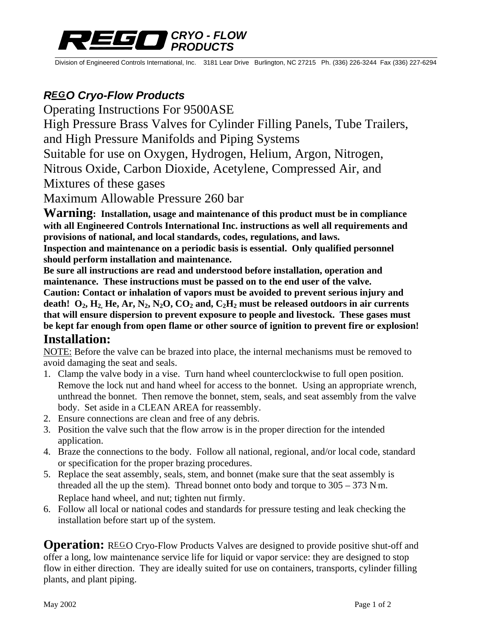## *CRYO - FLOW PRODUCTS*

Division of Engineered Controls International, Inc. 3181 Lear Drive Burlington, NC 27215 Ph. (336) 226-3244 Fax (336) 227-6294

## *REGO Cryo-Flow Products*

Operating Instructions For 9500ASE

High Pressure Brass Valves for Cylinder Filling Panels, Tube Trailers,

and High Pressure Manifolds and Piping Systems

Suitable for use on Oxygen, Hydrogen, Helium, Argon, Nitrogen,

Nitrous Oxide, Carbon Dioxide, Acetylene, Compressed Air, and

Mixtures of these gases

Maximum Allowable Pressure 260 bar

**Warning: Installation, usage and maintenance of this product must be in compliance with all Engineered Controls International Inc. instructions as well all requirements and provisions of national, and local standards, codes, regulations, and laws. Inspection and maintenance on a periodic basis is essential. Only qualified personnel** 

**should perform installation and maintenance.** 

**Be sure all instructions are read and understood before installation, operation and maintenance. These instructions must be passed on to the end user of the valve. Caution: Contact or inhalation of vapors must be avoided to prevent serious injury and**  death!  $O_2$ ,  $H_2$ ,  $He$ ,  $Ar$ ,  $N_2$ ,  $N_2O$ ,  $CO_2$  and,  $C_2H_2$  must be released outdoors in air currents **that will ensure dispersion to prevent exposure to people and livestock. These gases must be kept far enough from open flame or other source of ignition to prevent fire or explosion! Installation:** 

NOTE: Before the valve can be brazed into place, the internal mechanisms must be removed to avoid damaging the seat and seals.

- 1. Clamp the valve body in a vise. Turn hand wheel counterclockwise to full open position. Remove the lock nut and hand wheel for access to the bonnet. Using an appropriate wrench, unthread the bonnet. Then remove the bonnet, stem, seals, and seat assembly from the valve body. Set aside in a CLEAN AREA for reassembly.
- 2. Ensure connections are clean and free of any debris.
- 3. Position the valve such that the flow arrow is in the proper direction for the intended application.
- 4. Braze the connections to the body. Follow all national, regional, and/or local code, standard or specification for the proper brazing procedures.
- 5. Replace the seat assembly, seals, stem, and bonnet (make sure that the seat assembly is threaded all the up the stem). Thread bonnet onto body and torque to  $305 - 373$  N·m. Replace hand wheel, and nut; tighten nut firmly.
- 6. Follow all local or national codes and standards for pressure testing and leak checking the installation before start up of the system.

**Operation:** REGO Cryo-Flow Products Valves are designed to provide positive shut-off and offer a long, low maintenance service life for liquid or vapor service: they are designed to stop flow in either direction. They are ideally suited for use on containers, transports, cylinder filling plants, and plant piping.